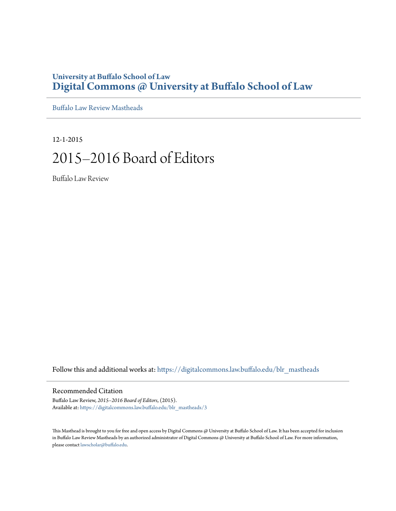## **University at Buffalo School of Law [Digital Commons @ University at Buffalo School of Law](https://digitalcommons.law.buffalo.edu?utm_source=digitalcommons.law.buffalo.edu%2Fblr_mastheads%2F3&utm_medium=PDF&utm_campaign=PDFCoverPages)**

[Buffalo Law Review Mastheads](https://digitalcommons.law.buffalo.edu/blr_mastheads?utm_source=digitalcommons.law.buffalo.edu%2Fblr_mastheads%2F3&utm_medium=PDF&utm_campaign=PDFCoverPages)

12-1-2015

# 2015–2016 Board of Editors

Buffalo Law Review

Follow this and additional works at: [https://digitalcommons.law.buffalo.edu/blr\\_mastheads](https://digitalcommons.law.buffalo.edu/blr_mastheads?utm_source=digitalcommons.law.buffalo.edu%2Fblr_mastheads%2F3&utm_medium=PDF&utm_campaign=PDFCoverPages)

#### Recommended Citation

Buffalo Law Review, *2015–2016 Board of Editors*, (2015). Available at: [https://digitalcommons.law.buffalo.edu/blr\\_mastheads/3](https://digitalcommons.law.buffalo.edu/blr_mastheads/3?utm_source=digitalcommons.law.buffalo.edu%2Fblr_mastheads%2F3&utm_medium=PDF&utm_campaign=PDFCoverPages)

This Masthead is brought to you for free and open access by Digital Commons @ University at Buffalo School of Law. It has been accepted for inclusion in Buffalo Law Review Mastheads by an authorized administrator of Digital Commons @ University at Buffalo School of Law. For more information, please contact [lawscholar@buffalo.edu](mailto:lawscholar@buffalo.edu).